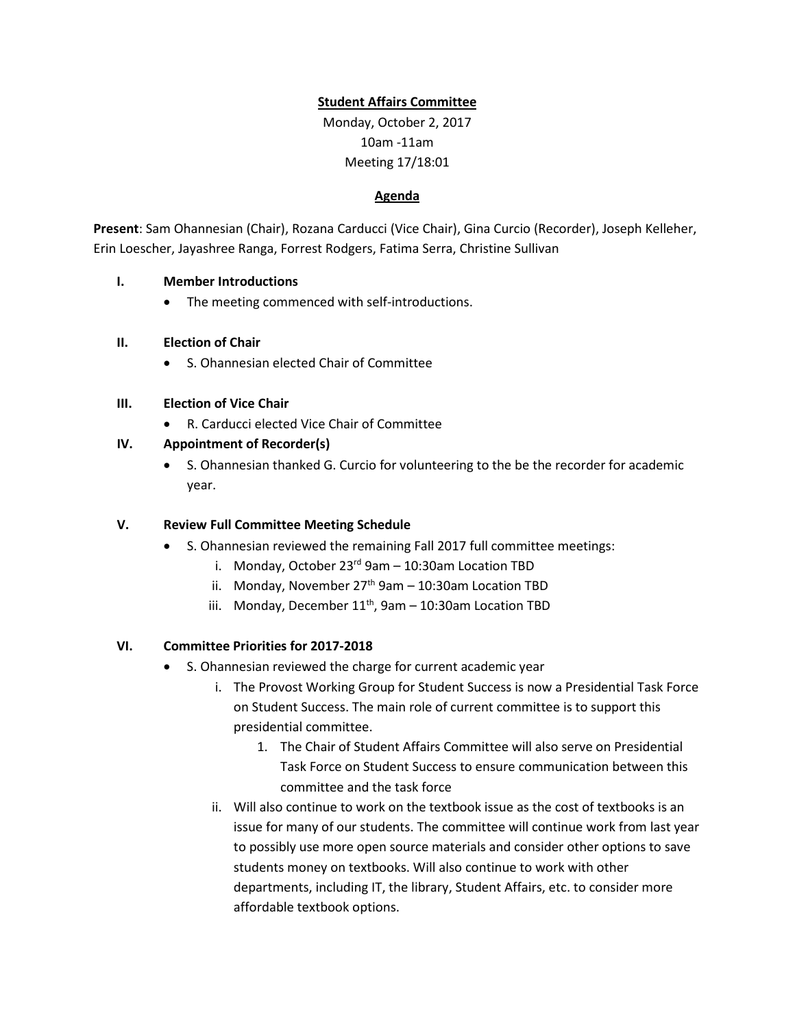## **Student Affairs Committee**

Monday, October 2, 2017 10am -11am Meeting 17/18:01

#### **Agenda**

**Present**: Sam Ohannesian (Chair), Rozana Carducci (Vice Chair), Gina Curcio (Recorder), Joseph Kelleher, Erin Loescher, Jayashree Ranga, Forrest Rodgers, Fatima Serra, Christine Sullivan

### **I. Member Introductions**

• The meeting commenced with self-introductions.

### **II. Election of Chair**

• S. Ohannesian elected Chair of Committee

### **III. Election of Vice Chair**

• R. Carducci elected Vice Chair of Committee

### **IV. Appointment of Recorder(s)**

• S. Ohannesian thanked G. Curcio for volunteering to the be the recorder for academic year.

### **V. Review Full Committee Meeting Schedule**

- S. Ohannesian reviewed the remaining Fall 2017 full committee meetings:
	- i. Monday, October  $23^{rd}$  9am  $-$  10:30am Location TBD
	- ii. Monday, November  $27<sup>th</sup>$  9am 10:30am Location TBD
	- iii. Monday, December  $11^{th}$ , 9am  $-$  10:30am Location TBD

### **VI. Committee Priorities for 2017-2018**

- S. Ohannesian reviewed the charge for current academic year
	- i. The Provost Working Group for Student Success is now a Presidential Task Force on Student Success. The main role of current committee is to support this presidential committee.
		- 1. The Chair of Student Affairs Committee will also serve on Presidential Task Force on Student Success to ensure communication between this committee and the task force
	- ii. Will also continue to work on the textbook issue as the cost of textbooks is an issue for many of our students. The committee will continue work from last year to possibly use more open source materials and consider other options to save students money on textbooks. Will also continue to work with other departments, including IT, the library, Student Affairs, etc. to consider more affordable textbook options.